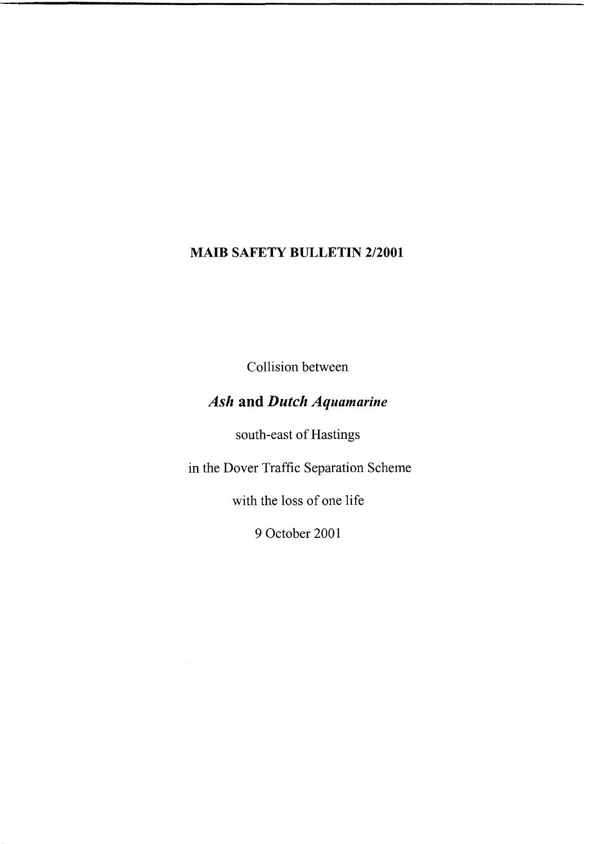# **MAIB SAFETY BULLETIN 2/2001**

Collision between

# *Ash* **and** *Dutch Aquamarine*

south-east of Hastings

in the Dover Traffic Separation Scheme

with the loss of one life

9 October 2001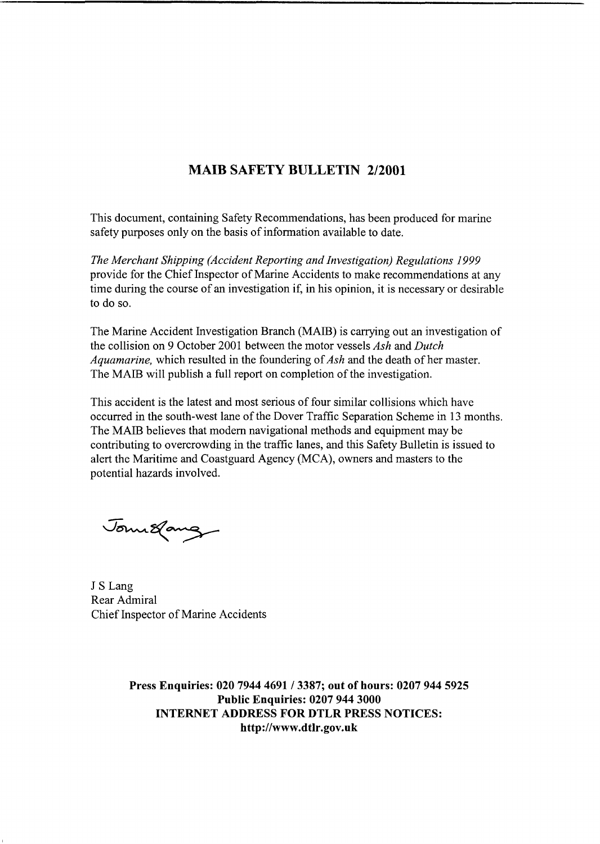## **MAIB SAFETY BULLETIN 2/2001**

This document, containing Safety Recommendations, has been produced for marine safety purposes only on the basis of information available to date.

*The Merchant Shipping (Accident Reporting and Investigation) Regulations I999*  provide for the Chief Inspector of Marine Accidents to make recommendations at any time during the course of an investigation if, in his opinion, it is necessary or desirable to do so.

The Marine Accident Investigation Branch (MAIB) is carrying out an investigation of the collision on 9 October 2001 between the motor vessels *Ash* and *Dutch Aquamarine,* which resulted in the foundering of *Ash* and the death of her master. The MAIB will publish a full report on completion of the investigation.

This accident is the latest and most serious of four similar collisions which have occurred in the south-west lane of the Dover Traffic Separation Scheme in 13 months. The MAIB believes that modem navigational methods and equipment may be contributing to overcrowding in the traffic lanes, and this Safety Bulletin is issued to alert the Maritime and Coastguard Agency (MCA), owners and masters to the potential hazards involved.

Journ Lang

J **S** Lang Rear Admiral Chief Inspector of Marine Accidents

**Press Enquiries: 020 7944 4691** / **3387; out of hours: 0207 944 5925 Public Enquiries: 0207 944 3000 INTERNET ADDRESS FOR DTLR PRESS NOTICES: <http://www.dtlr.gov.uk>**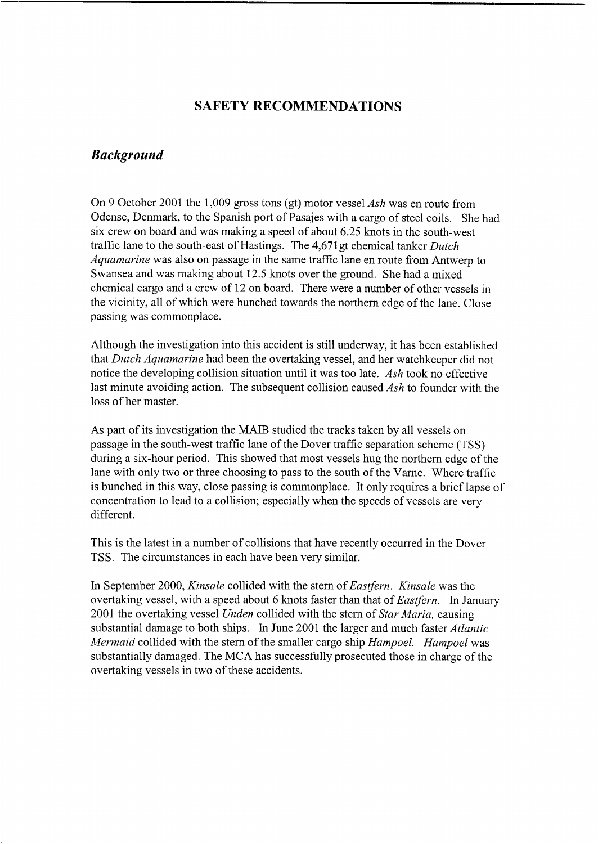### **SAFETY RECOMMENDATIONS**

#### *Background*

On 9 October 2001 the 1,009 gross tons (gt) motor vessel *Ash* was en route from Odense, Denmark, to the Spanish port of Pasajes with a cargo of steel coils. She had six crew on board and was making a speed of about 6.25 knots in the south-west traffic lane to the south-east of Hastings. The 4,671gt chemical tanker *Dutch Aquamarine* was also on passage in the same traffic lane en route from Antwerp to Swansea and was making about 12.5 knots over the ground. She had a mixed chemical cargo and a crew of 12 on board. There were a number of other vessels in the vicinity, all of which were bunched towards the northern edge of the lane. Close passing was commonplace.

Although the investigation into this accident is still underway, it has been established that *Dutch Aquamarine* had been the overtaking vessel, and her watchkeeper did not notice the developing collision situation until it was too late. *Ash* took no effective last minute avoiding action. The subsequent collision caused *Ash* to founder with the loss of her master.

As part of its investigation the **MAD** studied the tracks taken by all vessels on passage in the south-west traffic lane of the Dover traffic separation scheme (TSS) during a six-hour period. This showed that most vessels hug the northern edge of the lane with only two or three choosing to pass to the south of the Varne. Where traffic is bunched in this way, close passing is commonplace. It only requires a brief lapse of concentration to lead to a collision; especially when the speeds of vessels are very different.

This is the latest in a number of collisions that have recently occurred in the Dover TSS. The circumstances in each have been very similar.

In September 2000, *Kinsale* collided with the stern of *Eastfern. Kinsale* was the overtaking vessel, with a speed about 6 knots faster than that of *Eastfern.* In January 2001 the overtaking vessel *Unden* collided with the stem of *Star Maria,* causing substantial damage to both ships. In June 2001 the larger and much faster *Atlantic Mermaid* collided with the stem of the smaller cargo ship *Hampoel. Hampoel* was substantially damaged. The MCA has successfully prosecuted those in charge of the overtaking vessels in two of these accidents.